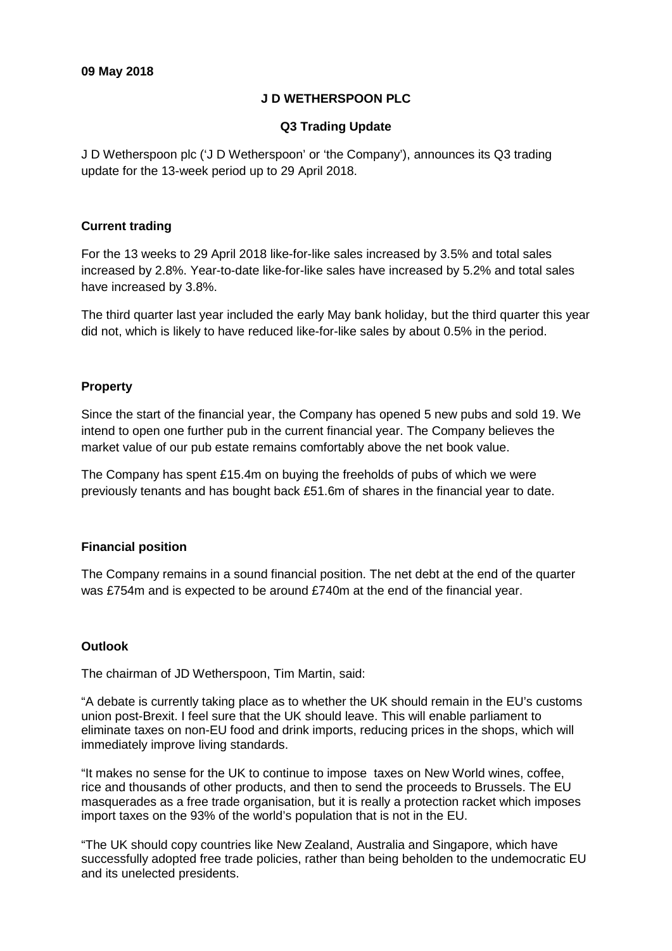## **J D WETHERSPOON PLC**

## **Q3 Trading Update**

J D Wetherspoon plc ('J D Wetherspoon' or 'the Company'), announces its Q3 trading update for the 13-week period up to 29 April 2018.

# **Current trading**

For the 13 weeks to 29 April 2018 like-for-like sales increased by 3.5% and total sales increased by 2.8%. Year-to-date like-for-like sales have increased by 5.2% and total sales have increased by 3.8%.

The third quarter last year included the early May bank holiday, but the third quarter this year did not, which is likely to have reduced like-for-like sales by about 0.5% in the period.

# **Property**

Since the start of the financial year, the Company has opened 5 new pubs and sold 19. We intend to open one further pub in the current financial year. The Company believes the market value of our pub estate remains comfortably above the net book value.

The Company has spent £15.4m on buying the freeholds of pubs of which we were previously tenants and has bought back £51.6m of shares in the financial year to date.

## **Financial position**

The Company remains in a sound financial position. The net debt at the end of the quarter was £754m and is expected to be around £740m at the end of the financial year.

## **Outlook**

The chairman of JD Wetherspoon, Tim Martin, said:

"A debate is currently taking place as to whether the UK should remain in the EU's customs union post-Brexit. I feel sure that the UK should leave. This will enable parliament to eliminate taxes on non-EU food and drink imports, reducing prices in the shops, which will immediately improve living standards.

"It makes no sense for the UK to continue to impose taxes on New World wines, coffee, rice and thousands of other products, and then to send the proceeds to Brussels. The EU masquerades as a free trade organisation, but it is really a protection racket which imposes import taxes on the 93% of the world's population that is not in the EU.

"The UK should copy countries like New Zealand, Australia and Singapore, which have successfully adopted free trade policies, rather than being beholden to the undemocratic EU and its unelected presidents.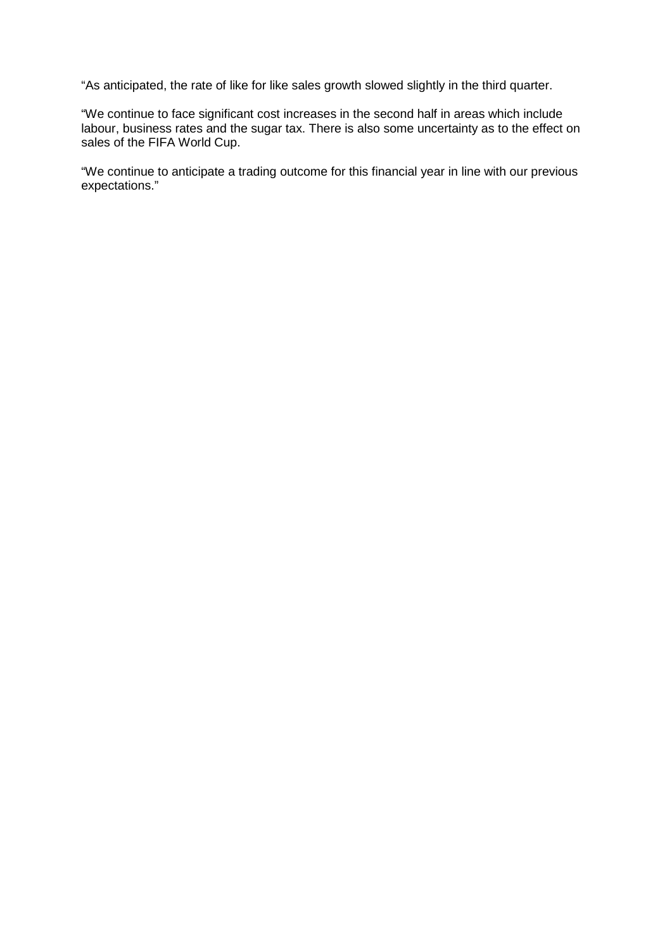"As anticipated, the rate of like for like sales growth slowed slightly in the third quarter.

"We continue to face significant cost increases in the second half in areas which include labour, business rates and the sugar tax. There is also some uncertainty as to the effect on sales of the FIFA World Cup.

"We continue to anticipate a trading outcome for this financial year in line with our previous expectations."